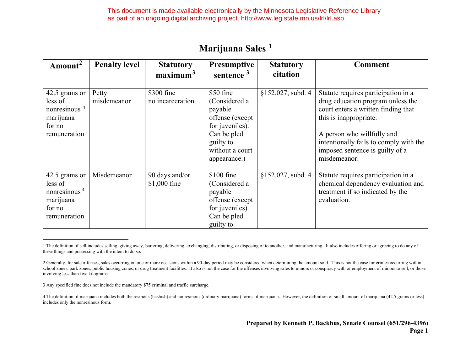This document is made available electronically by the Minnesota Legislative Reference Library as part of an ongoing digital archiving project. http://www.leg.state.mn.us/lrl/lrl.asp

| Amount <sup>2</sup>                                                                         | <b>Penalty level</b> | <b>Statutory</b><br>maximum <sup>3</sup> | <b>Presumptive</b><br>sentence $3$                                                                                                         | <b>Statutory</b><br>citation | <b>Comment</b>                                                                                                                                                                                                                                                       |
|---------------------------------------------------------------------------------------------|----------------------|------------------------------------------|--------------------------------------------------------------------------------------------------------------------------------------------|------------------------------|----------------------------------------------------------------------------------------------------------------------------------------------------------------------------------------------------------------------------------------------------------------------|
| 42.5 grams or<br>less of<br>nonresinous <sup>4</sup><br>marijuana<br>for no<br>remuneration | Petty<br>misdemeanor | \$300 fine<br>no incarceration           | \$50 fine<br>(Considered a<br>payable<br>offense (except<br>for juveniles).<br>Can be pled<br>guilty to<br>without a court<br>appearance.) | $$152.027,$ subd. 4          | Statute requires participation in a<br>drug education program unless the<br>court enters a written finding that<br>this is inappropriate.<br>A person who willfully and<br>intentionally fails to comply with the<br>imposed sentence is guilty of a<br>misdemeanor. |
| 42.5 grams or<br>less of<br>nonresinous <sup>4</sup><br>marijuana<br>for no<br>remuneration | Misdemeanor          | 90 days and/or<br>$$1,000$ fine          | $$100$ fine<br>(Considered a<br>payable<br>offense (except<br>for juveniles).<br>Can be pled<br>guilty to                                  | $$152.027$ , subd. 4         | Statute requires participation in a<br>chemical dependency evaluation and<br>treatment if so indicated by the<br>evaluation.                                                                                                                                         |

## <span id="page-0-1"></span><span id="page-0-0"></span>**Marijuana Sales <sup>1</sup>**

3 Any specified fine does not include the mandatory \$75 criminal and traffic surcharge.

4 The definition of marijuana includes both the resinous (hashish) and nonresinous (ordinary marijuana) forms of marijuana. However, the definition of small amount of marijuana (42.5 grams or less) includes only the nonresinous form.

<sup>1</sup> The definition of sell includes selling, giving away, bartering, delivering, exchanging, distributing, or disposing of to another, and manufacturing. It also includes offering or agreeing to do any of these things and possessing with the intent to do so.

<sup>2</sup> Generally, for sale offenses, sales occurring on one or more occasions within a 90-day period may be considered when determining the amount sold. This is not the case for crimes occurring within school zones, park zones, public housing zones, or drug treatment facilities. It also is not the case for the offenses involving sales to minors or conspiracy with or employment of minors to sell, or those involving less than five kilograms.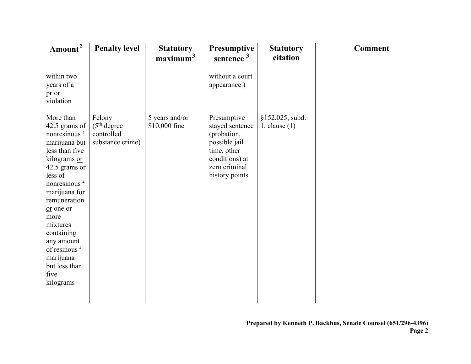| Amount <sup>2</sup>             | <b>Penalty level</b>     | <b>Statutory</b><br>maximum <sup>3</sup> | Presumptive<br>sentence $3$  | <b>Statutory</b><br>citation | <b>Comment</b> |
|---------------------------------|--------------------------|------------------------------------------|------------------------------|------------------------------|----------------|
|                                 |                          |                                          |                              |                              |                |
| within two                      |                          |                                          | without a court              |                              |                |
| years of a                      |                          |                                          | appearance.)                 |                              |                |
| prior<br>violation              |                          |                                          |                              |                              |                |
|                                 |                          |                                          |                              |                              |                |
| More than                       | Felony                   | 5 years and/or                           | Presumptive                  | §152.025, subd.              |                |
| 42.5 grams of                   | (5 <sup>th</sup> degree) | \$10,000 fine                            | stayed sentence              | $1$ , clause $(1)$           |                |
| nonresinous <sup>4</sup>        | controlled               |                                          | (probation,                  |                              |                |
| marijuana but<br>less than five | substance crime)         |                                          | possible jail<br>time, other |                              |                |
| kilograms or                    |                          |                                          | conditions) at               |                              |                |
| 42.5 grams or                   |                          |                                          | zero criminal                |                              |                |
| less of                         |                          |                                          | history points.              |                              |                |
| nonresinous <sup>4</sup>        |                          |                                          |                              |                              |                |
| marijuana for                   |                          |                                          |                              |                              |                |
| remuneration                    |                          |                                          |                              |                              |                |
| or one or<br>more               |                          |                                          |                              |                              |                |
| mixtures                        |                          |                                          |                              |                              |                |
| containing                      |                          |                                          |                              |                              |                |
| any amount                      |                          |                                          |                              |                              |                |
| of resinous <sup>4</sup>        |                          |                                          |                              |                              |                |
| marijuana                       |                          |                                          |                              |                              |                |
| but less than                   |                          |                                          |                              |                              |                |
| five                            |                          |                                          |                              |                              |                |
| kilograms                       |                          |                                          |                              |                              |                |
|                                 |                          |                                          |                              |                              |                |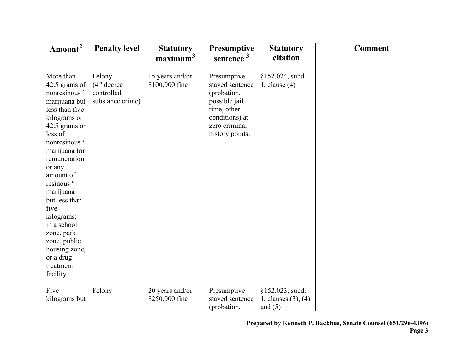| Amount <sup>2</sup>                                                                                                                                                                                                                                                                                                                                                                                        | <b>Penalty level</b>                                                 | <b>Statutory</b><br>maximum <sup>3</sup> | Presumptive<br>sentence $3$                                                                                                         | <b>Statutory</b><br>citation                         | <b>Comment</b> |
|------------------------------------------------------------------------------------------------------------------------------------------------------------------------------------------------------------------------------------------------------------------------------------------------------------------------------------------------------------------------------------------------------------|----------------------------------------------------------------------|------------------------------------------|-------------------------------------------------------------------------------------------------------------------------------------|------------------------------------------------------|----------------|
| More than<br>42.5 grams of<br>nonresinous <sup>4</sup><br>marijuana but<br>less than five<br>kilograms or<br>42.5 grams or<br>less of<br>nonresinous <sup>4</sup><br>marijuana for<br>remuneration<br>or any<br>amount of<br>resinous <sup>4</sup><br>marijuana<br>but less than<br>five<br>kilograms;<br>in a school<br>zone, park<br>zone, public<br>housing zone,<br>or a drug<br>treatment<br>facility | Felony<br>(4 <sup>th</sup> degree)<br>controlled<br>substance crime) | 15 years and/or<br>\$100,000 fine        | Presumptive<br>stayed sentence<br>(probation,<br>possible jail<br>time, other<br>conditions) at<br>zero criminal<br>history points. | §152.024, subd.<br>1, clause $(4)$                   |                |
| Five<br>kilograms but                                                                                                                                                                                                                                                                                                                                                                                      | Felony                                                               | 20 years and/or<br>\$250,000 fine        | Presumptive<br>stayed sentence<br>(probation,                                                                                       | §152.023, subd.<br>1, clauses (3), (4),<br>and $(5)$ |                |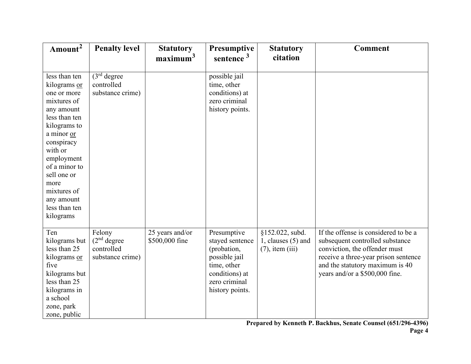| Amount <sup>2</sup>                                                                                                                                                                                                                                                | <b>Penalty level</b>                                                 | <b>Statutory</b><br>maximum <sup>3</sup> | Presumptive<br>sentence $3$                                                                                                         | <b>Statutory</b><br>citation                                    | <b>Comment</b>                                                                                                                                                                                                        |
|--------------------------------------------------------------------------------------------------------------------------------------------------------------------------------------------------------------------------------------------------------------------|----------------------------------------------------------------------|------------------------------------------|-------------------------------------------------------------------------------------------------------------------------------------|-----------------------------------------------------------------|-----------------------------------------------------------------------------------------------------------------------------------------------------------------------------------------------------------------------|
| less than ten<br>kilograms or<br>one or more<br>mixtures of<br>any amount<br>less than ten<br>kilograms to<br>a minor or<br>conspiracy<br>with or<br>employment<br>of a minor to<br>sell one or<br>more<br>mixtures of<br>any amount<br>less than ten<br>kilograms | (3 <sup>rd</sup> degree)<br>controlled<br>substance crime)           |                                          | possible jail<br>time, other<br>conditions) at<br>zero criminal<br>history points.                                                  |                                                                 |                                                                                                                                                                                                                       |
| Ten<br>kilograms but<br>less than 25<br>kilograms or<br>five<br>kilograms but<br>less than 25<br>kilograms in<br>a school<br>zone, park<br>zone, public                                                                                                            | Felony<br>(2 <sup>nd</sup> degree)<br>controlled<br>substance crime) | 25 years and/or<br>\$500,000 fine        | Presumptive<br>stayed sentence<br>(probation,<br>possible jail<br>time, other<br>conditions) at<br>zero criminal<br>history points. | §152.022, subd.<br>1, clauses $(5)$ and<br>$(7)$ , item $(iii)$ | If the offense is considered to be a<br>subsequent controlled substance<br>conviction, the offender must<br>receive a three-year prison sentence<br>and the statutory maximum is 40<br>years and/or a \$500,000 fine. |

**Prepared by Kenneth P. Backhus, Senate Counsel (651/296-4396)**